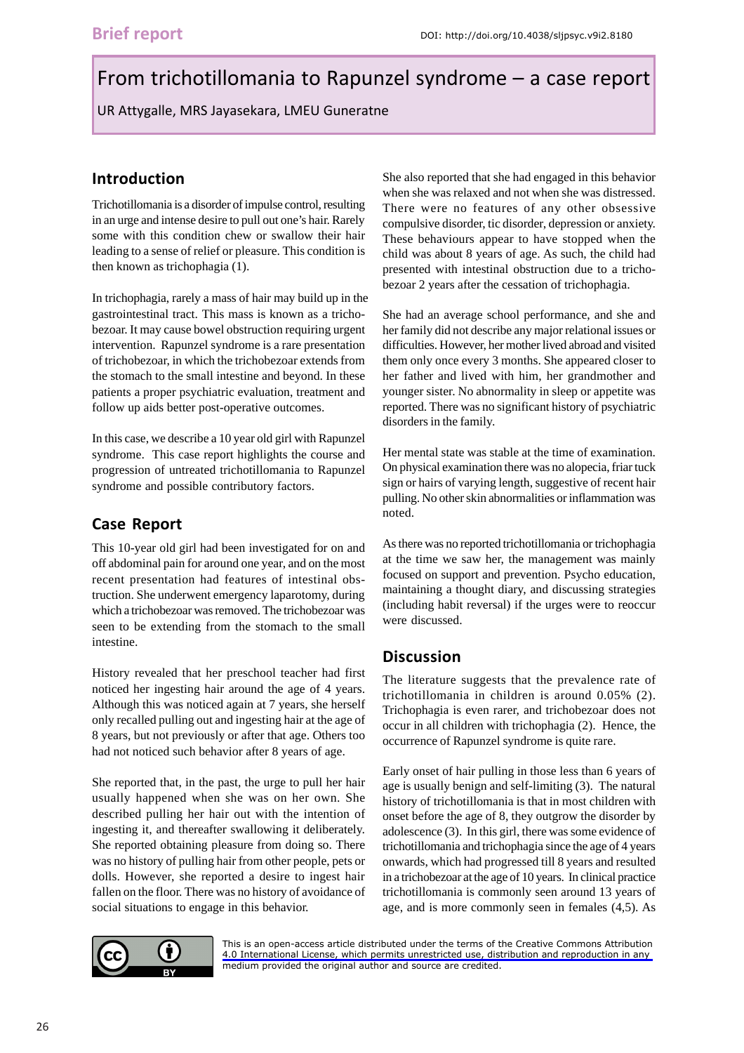# From trichotillomania to Rapunzel syndrome - a case report

UR Attygalle, MRS Jayasekara, LMEU Guneratne

## **Introduction**

Trichotillomania is a disorder of impulse control, resulting in an urge and intense desire to pull out one's hair. Rarely some with this condition chew or swallow their hair leading to a sense of relief or pleasure. This condition is then known as trichophagia (1).

In trichophagia, rarely a mass of hair may build up in the gastrointestinal tract. This mass is known as a trichobezoar. It may cause bowel obstruction requiring urgent intervention. Rapunzel syndrome is a rare presentation of trichobezoar, in which the trichobezoar extends from the stomach to the small intestine and beyond. In these patients a proper psychiatric evaluation, treatment and follow up aids better post-operative outcomes.

In this case, we describe a 10 year old girl with Rapunzel syndrome. This case report highlights the course and progression of untreated trichotillomania to Rapunzel syndrome and possible contributory factors.

# **Case Report**

This 10-year old girl had been investigated for on and off abdominal pain for around one year, and on the most recent presentation had features of intestinal obstruction. She underwent emergency laparotomy, during which a trichobezoar was removed. The trichobezoar was seen to be extending from the stomach to the small intestine.

History revealed that her preschool teacher had first noticed her ingesting hair around the age of 4 years. Although this was noticed again at 7 years, she herself only recalled pulling out and ingesting hair at the age of 8 years, but not previously or after that age. Others too had not noticed such behavior after 8 years of age.

She reported that, in the past, the urge to pull her hair usually happened when she was on her own. She described pulling her hair out with the intention of ingesting it, and thereafter swallowing it deliberately. She reported obtaining pleasure from doing so. There was no history of pulling hair from other people, pets or dolls. However, she reported a desire to ingest hair fallen on the floor. There was no history of avoidance of social situations to engage in this behavior.



She had an average school performance, and she and her family did not describe any major relational issues or difficulties. However, her mother lived abroad and visited them only once every 3 months. She appeared closer to her father and lived with him, her grandmother and younger sister. No abnormality in sleep or appetite was reported. There was no significant history of psychiatric disorders in the family.

Her mental state was stable at the time of examination. On physical examination there was no alopecia, friar tuck sign or hairs of varying length, suggestive of recent hair pulling. No other skin abnormalities or inflammation was noted.

As there was no reported trichotillomania or trichophagia at the time we saw her, the management was mainly focused on support and prevention. Psycho education, maintaining a thought diary, and discussing strategies (including habit reversal) if the urges were to reoccur were discussed.

## **Discussion**

The literature suggests that the prevalence rate of trichotillomania in children is around 0.05% (2). Trichophagia is even rarer, and trichobezoar does not occur in all children with trichophagia (2). Hence, the occurrence of Rapunzel syndrome is quite rare.

Early onset of hair pulling in those less than 6 years of age is usually benign and self-limiting (3). The natural history of trichotillomania is that in most children with onset before the age of 8, they outgrow the disorder by adolescence (3). In this girl, there was some evidence of trichotillomania and trichophagia since the age of 4 years onwards, which had progressed till 8 years and resulted in a trichobezoar at the age of 10 years. In clinical practice trichotillomania is commonly seen around 13 years of age, and is more commonly seen in females (4,5). As



[This is an open-access article distributed under the terms of the Creative Commons Attribution](https://creativecommons.org/licenses/by/4.0/legalcode) 4.0 International License, which permits unrestricted use, distribution and reproduction in any medium provided the original author and source are credited.